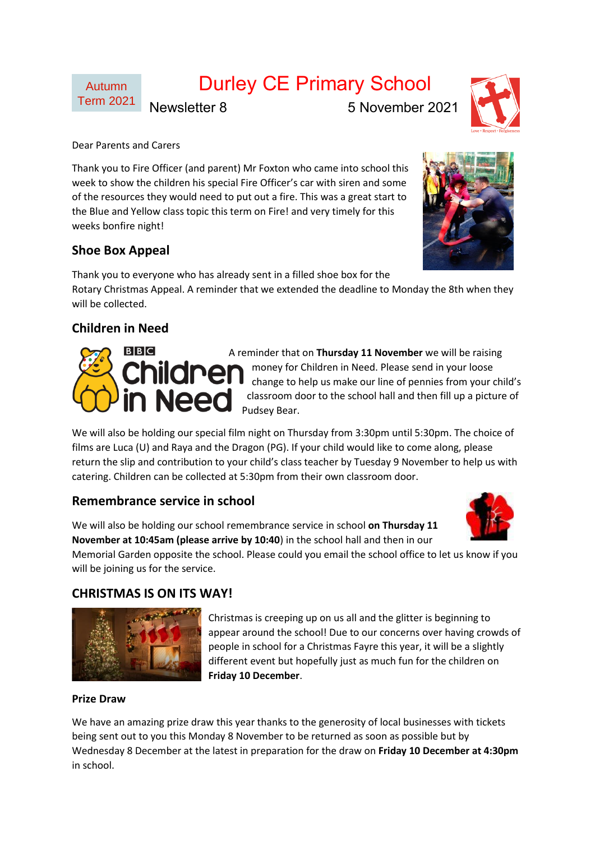# Durley CE Primary School

Newsletter 8 5 November 2021

Dear Parents and Carers

Thank you to Fire Officer (and parent) Mr Foxton who came into school this week to show the children his special Fire Officer's car with siren and some of the resources they would need to put out a fire. This was a great start to the Blue and Yellow class topic this term on Fire! and very timely for this weeks bonfire night!

## **Shoe Box Appeal**

Thank you to everyone who has already sent in a filled shoe box for the Rotary Christmas Appeal. A reminder that we extended the deadline to Monday the 8th when they will be collected.

# **Children in Need**

A reminder that on **Thursday 11 November** we will be raising money for Children in Need. Please send in your loose change to help us make our line of pennies from your child's classroom door to the school hall and then fill up a picture of Pudsey Bear.

We will also be holding our special film night on Thursday from 3:30pm until 5:30pm. The choice of films are Luca (U) and Raya and the Dragon (PG). If your child would like to come along, please return the slip and contribution to your child's class teacher by Tuesday 9 November to help us with catering. Children can be collected at 5:30pm from their own classroom door.

## **Remembrance service in school**

We will also be holding our school remembrance service in school **on Thursday 11 November at 10:45am (please arrive by 10:40**) in the school hall and then in our Memorial Garden opposite the school. Please could you email the school office to let us know if you

will be joining us for the service.

## **CHRISTMAS IS ON ITS WAY!**

Christmas is creeping up on us all and the glitter is beginning to appear around the school! Due to our concerns over having crowds of people in school for a Christmas Fayre this year, it will be a slightly different event but hopefully just as much fun for the children on **Friday 10 December**.

### **Prize Draw**

We have an amazing prize draw this year thanks to the generosity of local businesses with tickets being sent out to you this Monday 8 November to be returned as soon as possible but by Wednesday 8 December at the latest in preparation for the draw on **Friday 10 December at 4:30pm** in school.







Autumn Term 2021